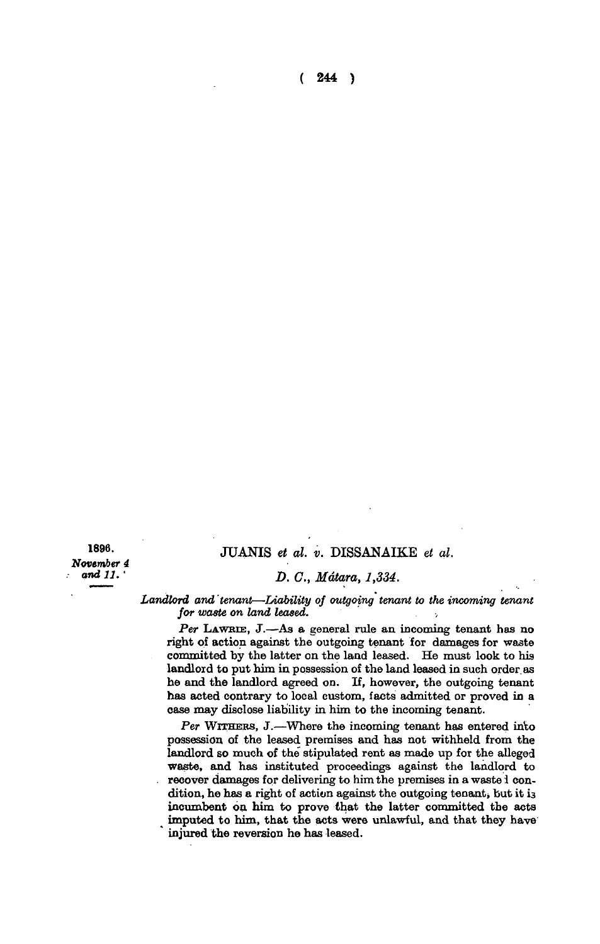**( 244 )** 

**1896. November** *4 and 11. •* 

## **JUANIS** *et al. v.* **DISSANAIKE** *et al.*

## *D. C, Mdtara, 1,334.*

Landlord and tenant—Liability of outgoing tenant to the incoming tenant *for waste on land leased.* 

*Per* **LAWRIE , J.—As a general rule an incoming tenant has no right of action against the outgoing tenant for damages for waste committed by the latter on the land leased. He must look to his landlord to put him in possession of the land leased in such order, as he and the landlord agreed on. If, however, the outgoing tenant has acted contrary to local custom, facts admitted or proved in a case may disclose liability in him to the incoming tenant.** 

*Per* **WITHERS, J.—Where the incoming tenant has entered into possession of the leased premises and has not withheld from the**  landlord so much of the stipulated rent as made up for the alleged **waste, and has instituted proceedings against the landlord to . recover damages for delivering to him the premises in a waste 1 condition, he has a right of action against the outgoing tenant, but it 13 incumbent on him to prove that the latter committed the acts ^ imputed to him, that the acts were unlawful, and that they have injured the reversion he has leased.**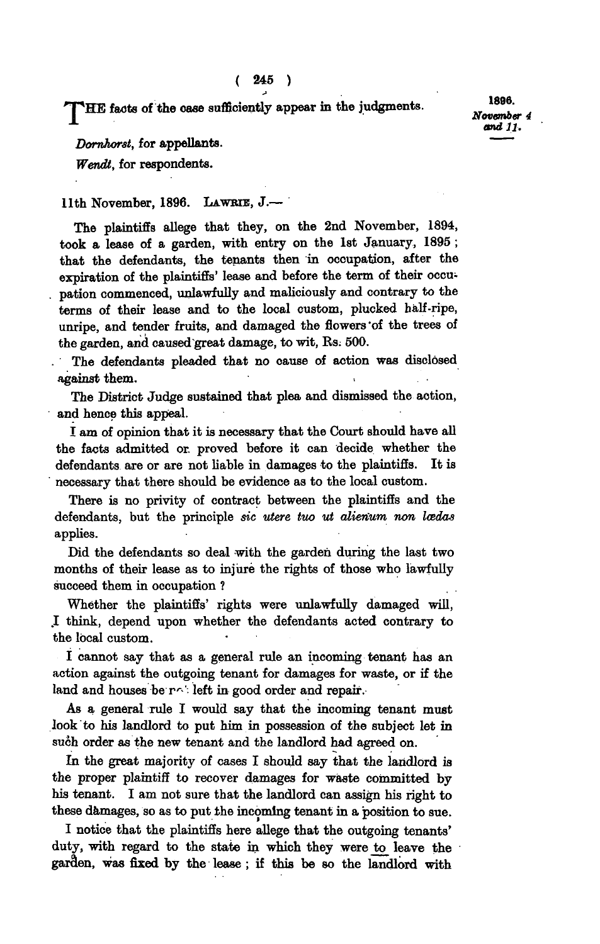"J**^HE facts of the case sufficiently appear in the judgments** 

**1806.**  *November 4 and 11.* 

*Dornhorst,* **for appellants.** 

*Wendt,* **for respondents.** 

## 11th November, 1896. Lawrie, J.-

**The plaintiffs allege that they, on the 2nd November, 1894, took a lease of a garden, with entry on the 1st January, 1895 ; that the defendants, the tenants then in occupation, after the expiration of the plaintiffs' lease and before the term of their occupation commenced, unlawfully and maliciously and contrary to the terms of their lease and to the local custom, plucked half-ripe, unripe, and tender fruits, and damaged the flowers "of the trees of the garden, and caused great damage, to wit, Rs; 500.** 

**The defendants pleaded that no cause of action was disclosed against them.** 

**The District Judge sustained that plea and dismissed the action, and hence this appeal.** 

**I am of opinion that it is necessary that the Court should have all the facts admitted or. proved before it can decide whether the defendants are or are not liable in damages to the plaintiffs. It is necessary that there should be evidence as to the local custom.** 

**There is no privity of contract between the plaintiffs and the**  defendants, but the principle *sic utere tuo ut alienum non loedas* **applies.** 

**Did the defendants so deal with the garden during the last two months of their lease as to injure the rights of those who lawfully succeed them in occupation ?** 

**Whether the plaintiffs' rights were unlawfully damaged will, .1 think, depend upon whether the defendants acted contrary to the local custom.** 

**I cannot say that as a general rule an incoming tenant has an action against the outgoing tenant for damages for waste, or if the land and houses be** *r r* **left in good order and repair.** 

**As a general rule I would say that the mcoming tenant must look to his landlord to put him in possession of the subject let in such order as the new tenant and the landlord had agreed on.** 

**In the great majority of cases I should say that the landlord is the proper plaintiff to recover damages for waste committed by his tenant. I am not sure that the landlord can assign his right to**  these damages, so as to put the incoming tenant in a position to sue.

**I notice that the plaintiffs here allege that the outgoing tenants' duty, with regard to the state in which they were to leave the garden, was fixed by the lease ; if this be so the landlord with**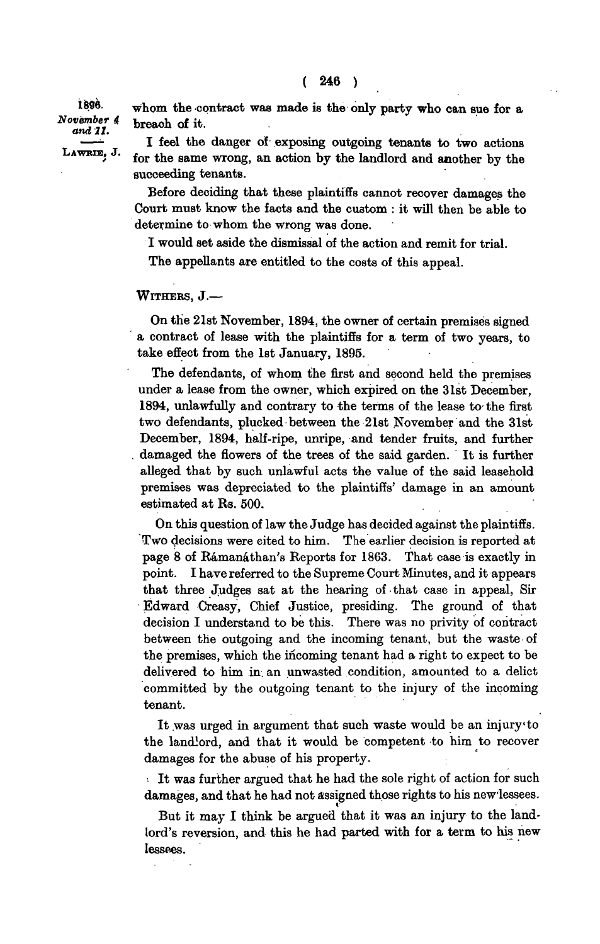1896. November 4 and 11. LAWRIE, J. **whom the contract was made is the only party who can sue for a breach of it.** 

**I feel the danger of exposing outgoing tenants to two actions for the same wrong, an action by the landlord and another by the succeeding tenants.** 

**Before deciding that these plaintiffs cannot recover damages the Court must know the facts and the cuatom : it will then be able to determine to whom the wrong was done.** 

**I would set aside the dismissal of the action and remit for trial.** 

**The appellants are entitled to the costs of this appeal.** 

**WITHERS , J.—** 

**On the 21st November, 1894, the owner of certain premises signed a contract of lease with the plaintiffs for a term of two years, to take effect from the 1st January, 1895.** 

**The defendants, of whom the first and second held the premises under a lease from the owner, which expired on the 31st December, 1894, unlawfully and contrary to the terms of the lease to the first two defendants, plucked between the 21st November and the 31st December, 1894, half-ripe, unripe, and tender fruits, and further . damaged the flowers of the trees of the said garden. It is further alleged that by such unlawful acts the value of the said leasehold premises was depreciated to the plaintiffs' damage in an amount estimated at Rs. 500.** 

**On this question of law the Judge has decided against the plaintiffs. Two decisions were cited to him. The earlier decision is reported at page 8 of Ramanathan's Reports for 1863. That case is exactly in point. I have referred to the Supreme Court Minutes, and it appears that three Judges sat at the hearing of that case in appeal, Sir Edward Creasy, Chief Justice, presiding. The ground of that decision I understand to be this. There was no privity of contract between the outgoing and the incoming tenant, but the waste of the premises, which the incoming tenant had a right to expect to be delivered to him in. an unwasted condition, amounted to a delict committed by the outgoing tenant to the injury of the incoming tenant.** 

**It was urged in argument that such waste would be an injury"to the landlord, and that it would be competent to him to recover damages for the abuse of his property.** 

**It was further argued that he had the sole right of action for such damages, and that he had not assigned those rights to his newlessees.** 

**But it may I think be argued that it was an injury to the landlord's reversion, and this he had parted with for a term to his new lessees.**